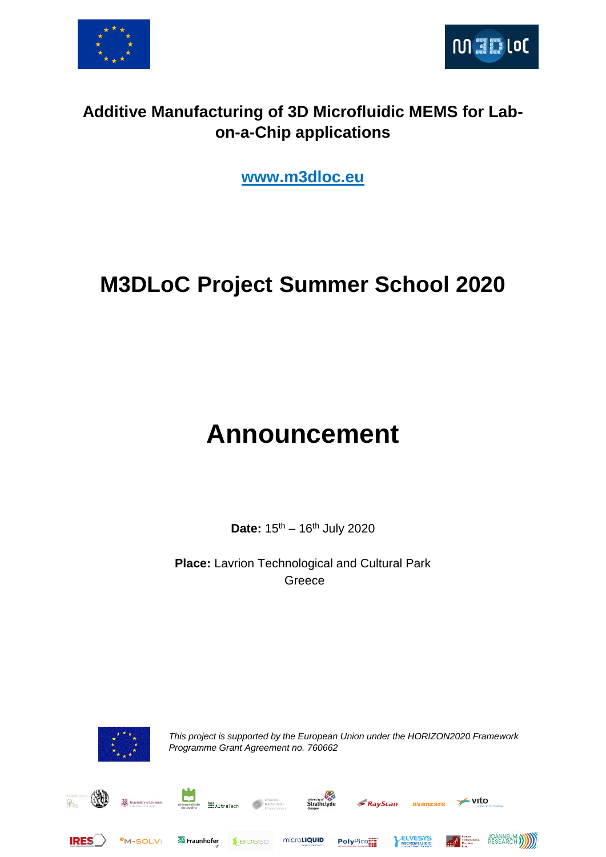



#### **Additive Manufacturing of 3D Microfluidic MEMS for Labon-a-Chip applications**

**[www.m3dloc.eu](http://www.m3dloc.eu/)**

## **M3DLoC Project Summer School 2020**

# **Announcement**

Date:  $15^{th} - 16^{th}$  July 2020

**Place:** Lavrion Technological and Cultural Park Greece



*This project is supported by the European Union under the HORIZON2020 Framework Programme Grant Agreement no. 760662*

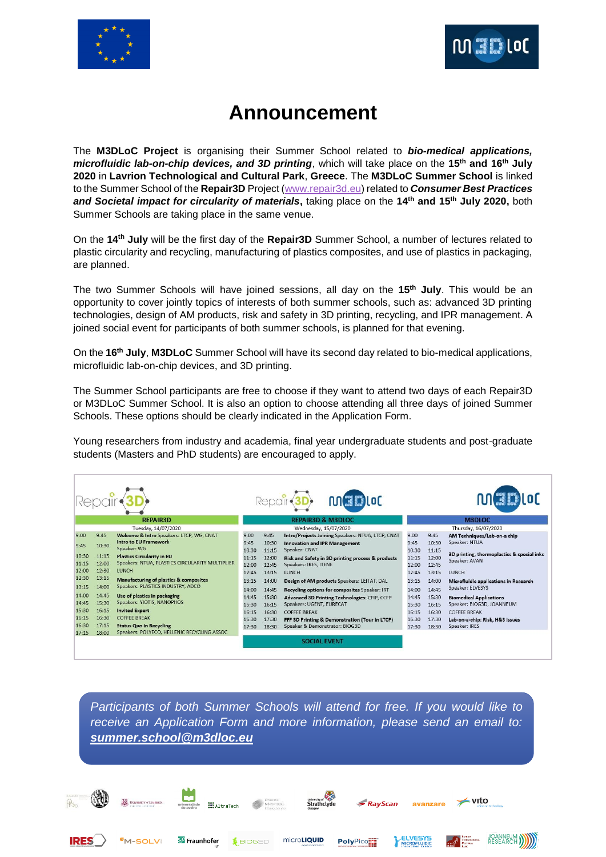



### **Announcement**

The **M3DLoC Project** is organising their Summer School related to *bio-medical applications, microfluidic lab-on-chip devices, and 3D printing*, which will take place on the **15th and 16th July 2020** in **Lavrion Technological and Cultural Park**, **Greece**. The **M3DLoC Summer School** is linked to the Summer School of the **Repair3D** Project [\(www.repair3d.eu\)](http://www.repair3d.eu/) related to *Consumer Best Practices and Societal impact for circularity of materials***,** taking place on the **14th and 15th July 2020,** both Summer Schools are taking place in the same venue.

On the **14th July** will be the first day of the **Repair3D** Summer School, a number of lectures related to plastic circularity and recycling, manufacturing of plastics composites, and use of plastics in packaging, are planned.

The two Summer Schools will have joined sessions, all day on the **15th July**. This would be an opportunity to cover jointly topics of interests of both summer schools, such as: advanced 3D printing technologies, design of AM products, risk and safety in 3D printing, recycling, and IPR management. A joined social event for participants of both summer schools, is planned for that evening.

On the **16th July**, **M3DLoC** Summer School will have its second day related to bio-medical applications, microfluidic lab-on-chip devices, and 3D printing.

The Summer School participants are free to choose if they want to attend two days of each Repair3D or M3DLoC Summer School. It is also an option to choose attending all three days of joined Summer Schools. These options should be clearly indicated in the Application Form.

Young researchers from industry and academia, final year undergraduate students and post-graduate students (Masters and PhD students) are encouraged to apply.



*Participants of both Summer Schools will attend for free. If you would like to receive an Application Form and more information, please send an email to: [summer.school@m3dloc.eu](mailto:summer.school@m3dloc.eu)*